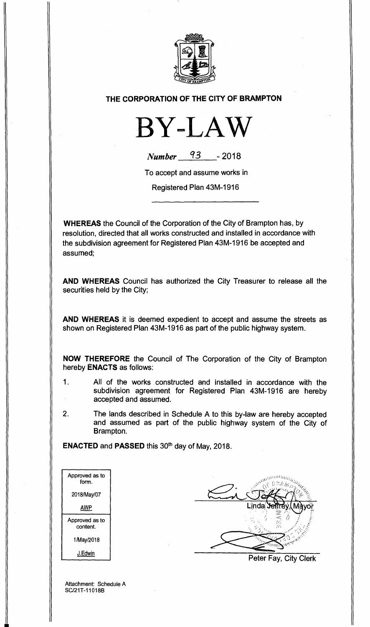

## **THE CORPORATION OF THE CITY OF BRAMPTON**



| <b>Number</b> | 93 | $-2018$ |
|---------------|----|---------|
|---------------|----|---------|

To accept and assume works in

Registered Plan 43M-1916

**WHEREAS** the Council of the Corporation of the City of Brampton has, by resolution, directed that all works constructed and installed in accordance with the subdivision agreement for Registered Plan 43M-1916 be accepted and assumed;

**AND WHEREAS** Council has authorized the City Treasurer to release all the securities held by the City;

**AND WHEREAS** it is deemed expedient to accept and assume the streets as shown on Registered Plan 43M-1916 as part of the public highway system.

**NOW THEREFORE** the Council of The Corporation of the City of Brampton hereby **ENACTS** as follows:

- 1. All of the works constructed and installed in accordance with the subdivision agreement for Registered Plan 43M-1916 are hereby accepted and assumed.
- 2. The lands described in Schedule A to this by-law are hereby accepted and assumed as part of the public highway system of the City of Brampton.

**ENACTED and PASSED this 30<sup>th</sup> day of May, 2018.** 

| Approved as to<br>form.    |  |
|----------------------------|--|
| 2018/May/07                |  |
| AWP                        |  |
| Approved as to<br>content. |  |
| 1/May/2018                 |  |
| J.Edwin                    |  |

Peter Fay, City Clerk

Attachment: Schedule A SC/21T-11018B